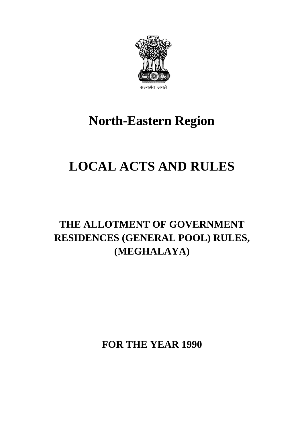

# **North-Eastern Region**

# **LOCAL ACTS AND RULES**

## **THE ALLOTMENT OF GOVERNMENT RESIDENCES (GENERAL POOL) RULES, (MEGHALAYA)**

**FOR THE YEAR 1990**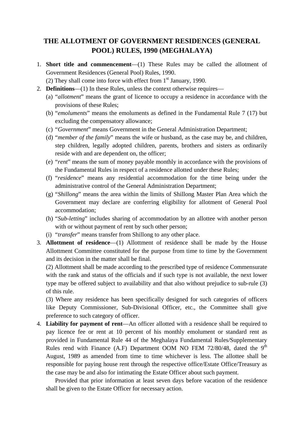### **THE ALLOTMENT OF GOVERNMENT RESIDENCES (GENERAL POOL) RULES, 1990 (MEGHALAYA)**

- 1. **Short title and commencement**—(1) These Rules may be called the allotment of Government Residences (General Pool) Rules, 1990.
	- (2) They shall come into force with effect from  $1<sup>st</sup>$  January, 1990.
- 2. **Definitions**—(1) In these Rules, unless the context otherwise requires—
	- (a) "*allotment*" means the grant of licence to occupy a residence in accordance with the provisions of these Rules;
	- (b) "*emoluments*" means the emoluments as defined in the Fundamental Rule 7 (17) but excluding the compensatory allowance;
	- (c) "*Government*" means Government in the General Administration Department;
	- reside with and are dependent on, the officer; (d) "*member of the family*" means the wife or husband, as the case may be, and children, step children, legally adopted children, parents, brothers and sisters as ordinarily
	- (e) "*rent*" means the sum of money payable monthly in accordance with the provisions of the Fundamental Rules in respect of a residence allotted under these Rules;
	- (f) "*residence*" means any residential accommodation for the time being under the administrative control of the General Administration Department;
	- (g) "*Shillong*" means the area within the limits of Shillong Master Plan Area which the Government may declare are conferring eligibility for allotment of General Pool accommodation;
	- (h) "*Sub-letting*" includes sharing of accommodation by an allottee with another person with or without payment of rent by such other person;
	- (i) "*transfer*" means transfer from Shillong to any other place.
- 3. **Allottment of residence**—(1) Allottment of residence shall be made by the House Allottment Committee constituted for the purpose from time to time by the Government and its decision in the matter shall be final.

(2) Allottment shall be made according to the prescribed type of residence Commensurate with the rank and status of the officials and if such type is not available, the next lower type may be offered subject to availability and that also without prejudice to sub-rule (3) of this rule.

 (3) Where any residence has been specifically designed for such categories of officers like Deputy Commissioner, Sub-Divisional Officer, etc., the Committee shall give preference to such category of officer.

4. **Liability for payment of rent**—An officer allotted with a residence shall be required to pay licence fee or rent at 10 percent of his monthly emolument or standard rent as provided in Fundamental Rule 44 of the Meghalaya Fundamental Rules/Supplementary Rules rend with Finance (A.F) Department OOM NO FEM  $72/80/48$ , dated the 9<sup>th</sup> August, 1989 as amended from time to time whichever is less. The allottee shall be responsible for paying house rent through the respective office/Estate Office/Treasury as the case may be and also for intimating the Estate Officer about such payment.

Provided that prior information at least seven days before vacation of the residence shall be given to the Estate Officer for necessary action.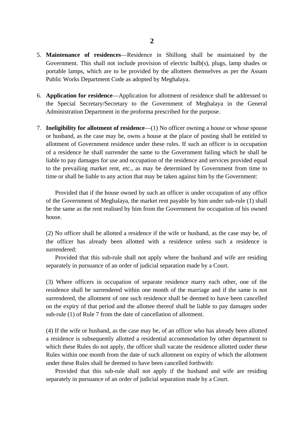- 5. **Maintenance of residences**—Residence in Shillong shall be maintained by the Government. This shall not include provision of electric bulb(s), plugs, lamp shades or portable lamps, which are to be provided by the allottees themselves as per the Assam Public Works Department Code as adopted by Meghalaya.
- 6. **Application for residence**—Application for allotment of residence shall be addressed to the Special Secretary/Secretary to the Government of Meghalaya in the General Administration Department in the proforma prescribed for the purpose.
- allotment of Government residence under these rules. If such an officer is in occupation 7. **Ineligibility for allotment of residence**—(1) No officer owning a house or whose spouse or husband, as the case may be, owns a house at the place of posting shall be entitled to of a residence he shall surrender the same to the Government failing which he shall be liable to pay damages for use and occupation of the residence and services provided equal to the prevailing market rent, etc., as may be determined by Government from time to time or shall be liable to any action that may be taken against him by the Government:

 be the same as the rent realised by him from the Government for occupation of his owned Provided that if the house owned by such an officer is under occupation of any office of the Government of Meghalaya, the market rent payable by him under sub-rule (1) shall house.

 (2) No officer shall be allotted a residence if the wife or husband, as the case may be, of the officer has already been allotted with a residence unless such a residence is surrendered:

Provided that this sub-rule shall not apply where the husband and wife are residing separately in pursuance of an order of judicial separation made by a Court.

 (3) Where officers in occupation of separate residence marry each other, one of the residence shall be surrendered within one month of the marriage and if the same is not surrendered, the allotment of one such residence shall be deemed to have been cancelled on the expiry of that period and the allottee thereof shall be liable to pay damages under sub-rule (1) of Rule 7 from the date of cancellation of allotment.

(4) If the wife or husband, as the case may be, of an officer who has already been allotted a residence is subsequently allotted a residential accommodation by other department to which these Rules do not apply, the officer shall vacate the residence allotted under these Rules within one month from the date of such allotment on expiry of which the allotment under these Rules shall be deemed to have been cancelled forthwith:

Provided that this sub-rule shall not apply if the husband and wife are residing separately in pursuance of an order of judicial separation made by a Court.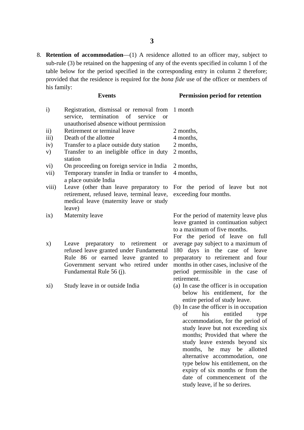provided that the residence is required for the *bona fide* use of the officer or members of 8. **Retention of accommodation**—(1) A residence allotted to an officer may, subject to sub-rule (3) be retained on the happening of any of the events specified in column 1 of the table below for the period specified in the corresponding entry in column 2 therefore; his family:

#### **Events Permission period for retention**

| $\mathbf{i}$ | Registration, dismissal or removal from<br>service, termination of<br>service<br><sub>or</sub><br>unauthorised absence without permission                                                         | 1 month                                                                                                                                                                                                                                                                                                                                                                                                                                                                                                                                           |
|--------------|---------------------------------------------------------------------------------------------------------------------------------------------------------------------------------------------------|---------------------------------------------------------------------------------------------------------------------------------------------------------------------------------------------------------------------------------------------------------------------------------------------------------------------------------------------------------------------------------------------------------------------------------------------------------------------------------------------------------------------------------------------------|
| $\rm ii)$    | Retirement or terminal leave                                                                                                                                                                      | 2 months,                                                                                                                                                                                                                                                                                                                                                                                                                                                                                                                                         |
| iii)         | Death of the allottee                                                                                                                                                                             | 4 months,                                                                                                                                                                                                                                                                                                                                                                                                                                                                                                                                         |
| iv)          | Transfer to a place outside duty station                                                                                                                                                          | 2 months,                                                                                                                                                                                                                                                                                                                                                                                                                                                                                                                                         |
| V)           | Transfer to an ineligible office in duty                                                                                                                                                          | 2 months,                                                                                                                                                                                                                                                                                                                                                                                                                                                                                                                                         |
|              | station                                                                                                                                                                                           |                                                                                                                                                                                                                                                                                                                                                                                                                                                                                                                                                   |
| vi)          | On proceeding on foreign service in India                                                                                                                                                         | 2 months,                                                                                                                                                                                                                                                                                                                                                                                                                                                                                                                                         |
| vii)         | Temporary transfer in India or transfer to<br>a place outside India                                                                                                                               | 4 months,                                                                                                                                                                                                                                                                                                                                                                                                                                                                                                                                         |
| viii)        | Leave (other than leave preparatory to<br>retirement, refused leave, terminal leave,<br>medical leave (maternity leave or study<br>leave)                                                         | For the period of leave but not<br>exceeding four months.                                                                                                                                                                                                                                                                                                                                                                                                                                                                                         |
| ix)          | Maternity leave                                                                                                                                                                                   | For the period of maternity leave plus<br>leave granted in continuation subject<br>to a maximum of five months.<br>For the period of leave on full                                                                                                                                                                                                                                                                                                                                                                                                |
| X)           | Leave preparatory to retirement<br><b>or</b><br>refused leave granted under Fundamental<br>Rule 86 or earned leave granted to<br>Government servant who retired under<br>Fundamental Rule 56 (j). | average pay subject to a maximum of<br>180 days in the case of leave<br>preparatory to retirement and four<br>months in other cases, inclusive of the<br>period permissible in the case of<br>retirement.                                                                                                                                                                                                                                                                                                                                         |
| xi)          | Study leave in or outside India                                                                                                                                                                   | (a) In case the officer is in occupation<br>below his entitlement, for the<br>entire period of study leave.<br>(b) In case the officer is in occupation<br>his<br>entitled<br>οf<br>type<br>accommodation, for the period of<br>study leave but not exceeding six<br>months; Provided that where the<br>study leave extends beyond six<br>months, he may be allotted<br>alternative accommodation, one<br>type below his entitlement, on the<br>expiry of six months or from the<br>date of commencement of the<br>study leave, if he so derires. |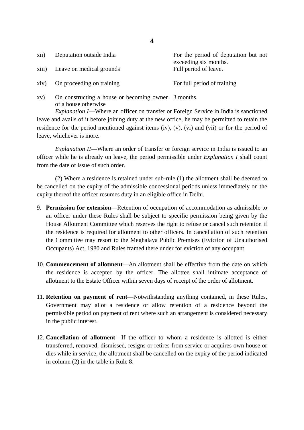| xii) | Deputation outside India<br>xiii) Leave on medical grounds | For the period of deputation but not<br>exceeding six months.<br>Full period of leave. |
|------|------------------------------------------------------------|----------------------------------------------------------------------------------------|
|      | xiv) On proceeding on training                             | For full period of training                                                            |

xv) On constructing a house or becoming owner 3 months. of a house otherwise

 *Explanation I*—Where an officer on transfer or Foreign Service in India is sanctioned leave and avails of it before joining duty at the new office, he may be permitted to retain the residence for the period mentioned against items (iv), (v), (vi) and (vii) or for the period of leave, whichever is more.

 *Explanation II*—Where an order of transfer or foreign service in India is issued to an officer while he is already on leave, the period permissible under *Explanation I* shall count from the date of issue of such order.

(2) Where a residence is retained under sub-rule (1) the allotment shall be deemed to be cancelled on the expiry of the admissible concessional periods unless immediately on the expiry thereof the officer resumes duty in an eligible office in Delhi.

- House Allotment Committee which reserves the right to refuse or cancel such retention if 9. **Permission for extension**—Retention of occupation of accommodation as admissible to an officer under these Rules shall be subject to specific permission being given by the the residence is required for allotment to other officers. In cancellation of such retention the Committee may resort to the Meghalaya Public Premises (Eviction of Unauthorised Occupants) Act, 1980 and Rules framed there under for eviction of any occupant.
- 10. **Commencement of allotment**—An allotment shall be effective from the date on which the residence is accepted by the officer. The allottee shall intimate acceptance of allotment to the Estate Officer within seven days of receipt of the order of allotment.
- 11. **Retention on payment of rent**—Notwithstanding anything contained, in these Rules, Government may allot a residence or allow retention of a residence beyond the permissible period on payment of rent where such an arrangement is considered necessary in the public interest.
- 12. **Cancellation of allotment**—If the officer to whom a residence is allotted is either transferred, removed, dismissed, resigns or retires from service or acquires own house or dies while in service, the allotment shall be cancelled on the expiry of the period indicated in column (2) in the table in Rule 8.

**4**